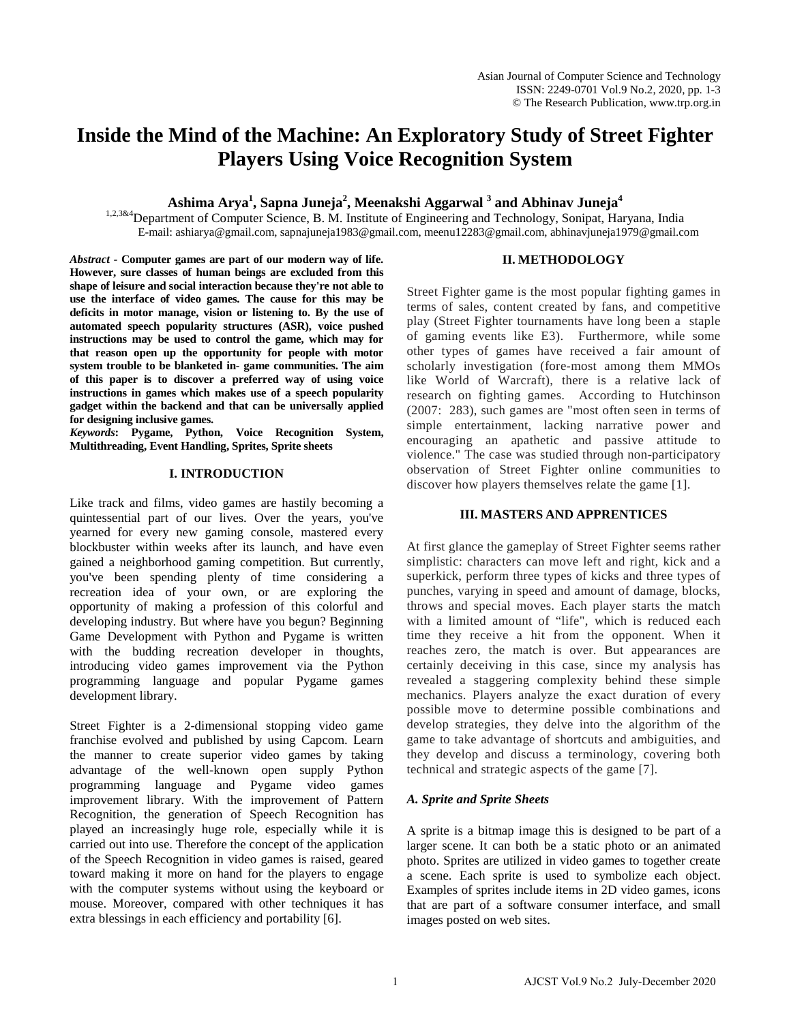# **Inside the Mind of the Machine: An Exploratory Study of Street Fighter Players Using Voice Recognition System**

# **Ashima Arya1 , Sapna Juneja2 , Meenakshi Aggarwal 3 and Abhinav Juneja4**

1,2,3&4 Department of Computer Science, B. M. Institute of Engineering and Technology, Sonipat, Haryana, India E-mail: ashiarya@gmail.com, sapnajuneja1983@gmail.com, meenu12283@gmail.com, abhinavjuneja1979@gmail.com

## **II. METHODOLOGY**

*Abstract -* **Computer games are part of our modern way of life. However, sure classes of human beings are excluded from this shape of leisure and social interaction because they're not able to use the interface of video games. The cause for this may be deficits in motor manage, vision or listening to. By the use of automated speech popularity structures (ASR), voice pushed instructions may be used to control the game, which may for that reason open up the opportunity for people with motor system trouble to be blanketed in- game communities. The aim of this paper is to discover a preferred way of using voice instructions in games which makes use of a speech popularity gadget within the backend and that can be universally applied for designing inclusive games.**

*Keywords***: Pygame, Python, Voice Recognition System, Multithreading, Event Handling, Sprites, Sprite sheets**

## **I. INTRODUCTION**

Like track and films, video games are hastily becoming a quintessential part of our lives. Over the years, you've yearned for every new gaming console, mastered every blockbuster within weeks after its launch, and have even gained a neighborhood gaming competition. But currently, you've been spending plenty of time considering a recreation idea of your own, or are exploring the opportunity of making a profession of this colorful and developing industry. But where have you begun? Beginning Game Development with Python and Pygame is written with the budding recreation developer in thoughts, introducing video games improvement via the Python programming language and popular Pygame games development library.

Street Fighter is a 2-dimensional stopping video game franchise evolved and published by using Capcom. Learn the manner to create superior video games by taking advantage of the well-known open supply Python programming language and Pygame video games improvement library. With the improvement of Pattern Recognition, the generation of Speech Recognition has played an increasingly huge role, especially while it is carried out into use. Therefore the concept of the application of the Speech Recognition in video games is raised, geared toward making it more on hand for the players to engage with the computer systems without using the keyboard or mouse. Moreover, compared with other techniques it has extra blessings in each efficiency and portability [6].

Street Fighter game is the most popular fighting games in terms of sales, content created by fans, and competitive play (Street Fighter tournaments have long been a staple of gaming events like E3). Furthermore, while some other types of games have received a fair amount of scholarly investigation (fore-most among them MMOs like World of Warcraft), there is a relative lack of research on fighting games. According to Hutchinson (2007: 283), such games are "most often seen in terms of simple entertainment, lacking narrative power and encouraging an apathetic and passive attitude to violence." The case was studied through non-participatory observation of Street Fighter online communities to discover how players themselves relate the game [1].

## **III. MASTERS AND APPRENTICES**

At first glance the gameplay of Street Fighter seems rather simplistic: characters can move left and right, kick and a superkick, perform three types of kicks and three types of punches, varying in speed and amount of damage, blocks, throws and special moves. Each player starts the match with a limited amount of "life", which is reduced each time they receive a hit from the opponent. When it reaches zero, the match is over. But appearances are certainly deceiving in this case, since my analysis has revealed a staggering complexity behind these simple mechanics. Players analyze the exact duration of every possible move to determine possible combinations and develop strategies, they delve into the algorithm of the game to take advantage of shortcuts and ambiguities, and they develop and discuss a terminology, covering both technical and strategic aspects of the game [7].

## *A. Sprite and Sprite Sheets*

A sprite is a bitmap image this is designed to be part of a larger scene. It can both be a static photo or an animated photo. Sprites are utilized in video games to together create a scene. Each sprite is used to symbolize each object. Examples of sprites include items in 2D video games, icons that are part of a software consumer interface, and small images posted on web sites.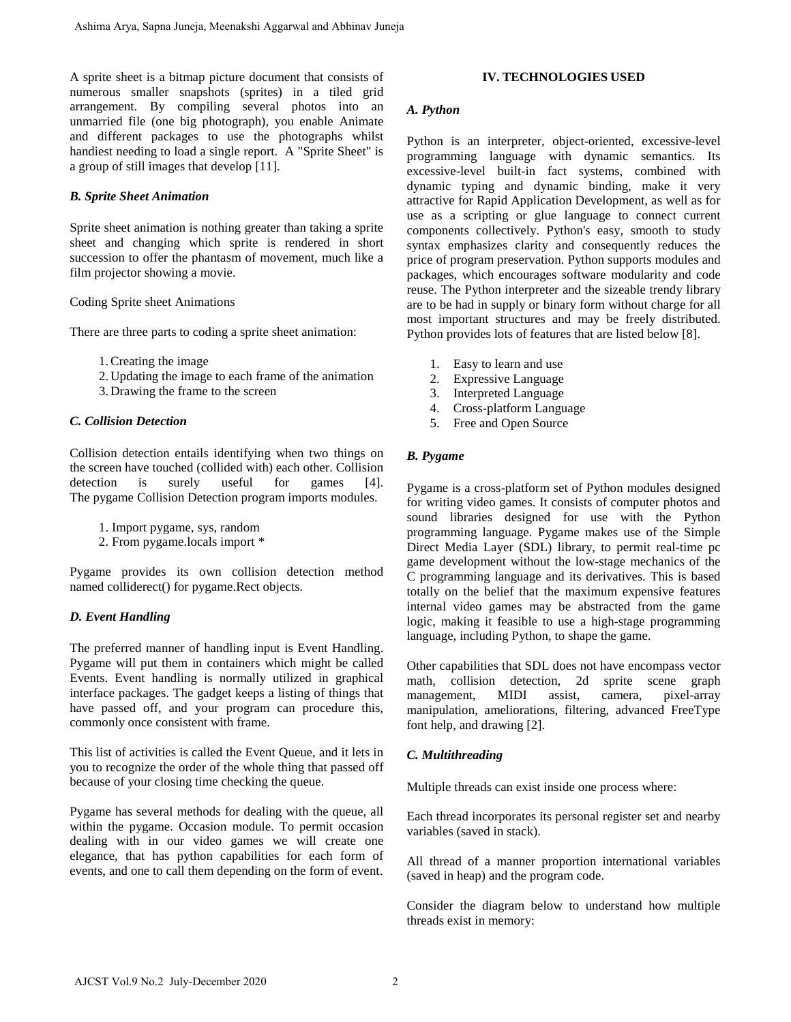A sprite sheet is a bitmap picture document that consists of numerous smaller snapshots (sprites) in a tiled grid arrangement. By compiling several photos into an unmarried file (one big photograph), you enable Animate and different packages to use the photographs whilst handiest needing to load a single report. A "Sprite Sheet" is a group of still images that develop [11].

## *B. Sprite Sheet Animation*

Sprite sheet animation is nothing greater than taking a sprite sheet and changing which sprite is rendered in short succession to offer the phantasm of movement, much like a film projector showing a movie.

## Coding Sprite sheet Animations

There are three parts to coding a sprite sheet animation:

- 1.Creating the image
- 2. Updating the image to each frame of the animation
- 3. Drawing the frame to the screen

# *C. Collision Detection*

Collision detection entails identifying when two things on the screen have touched (collided with) each other. Collision detection is surely useful for games [4]. The pygame Collision Detection program imports modules.

- 1. Import pygame, sys, random
- 2. From pygame.locals import \*

Pygame provides its own collision detection method named colliderect() for pygame.Rect objects.

# *D. Event Handling*

The preferred manner of handling input is Event Handling. Pygame will put them in containers which might be called Events. Event handling is normally utilized in graphical interface packages. The gadget keeps a listing of things that have passed off, and your program can procedure this, commonly once consistent with frame.

This list of activities is called the Event Queue, and it lets in you to recognize the order of the whole thing that passed off because of your closing time checking the queue.

Pygame has several methods for dealing with the queue, all within the pygame. Occasion module. To permit occasion dealing with in our video games we will create one elegance, that has python capabilities for each form of events, and one to call them depending on the form of event.

## **IV. TECHNOLOGIES USED**

## *A. Python*

Python is an interpreter, object-oriented, excessive-level programming language with dynamic semantics. Its excessive-level built-in fact systems, combined with dynamic typing and dynamic binding, make it very attractive for Rapid Application Development, as well as for use as a scripting or glue language to connect current components collectively. Python's easy, smooth to study syntax emphasizes clarity and consequently reduces the price of program preservation. Python supports modules and packages, which encourages software modularity and code reuse. The Python interpreter and the sizeable trendy library are to be had in supply or binary form without charge for all most important structures and may be freely distributed. Python provides lots of features that are listed below [8].

- 1. Easy to learn and use
- 2. Expressive Language
- 3. Interpreted Language
- 4. Cross-platform Language
- 5. Free and Open Source

## *B. Pygame*

Pygame is a cross-platform set of Python modules designed for writing video games. It consists of computer photos and sound libraries designed for use with the Python programming language. Pygame makes use of the Simple Direct Media Layer (SDL) library, to permit real-time pc game development without the low-stage mechanics of the C programming language and its derivatives. This is based totally on the belief that the maximum expensive features internal video games may be abstracted from the game logic, making it feasible to use a high-stage programming language, including Python, to shape the game.

Other capabilities that SDL does not have encompass vector math, collision detection, 2d sprite scene graph management, MIDI assist, camera, pixel-array manipulation, ameliorations, filtering, advanced FreeType font help, and drawing [2].

# *C. Multithreading*

Multiple threads can exist inside one process where:

Each thread incorporates its personal register set and nearby variables (saved in stack).

All thread of a manner proportion international variables (saved in heap) and the program code.

Consider the diagram below to understand how multiple threads exist in memory: